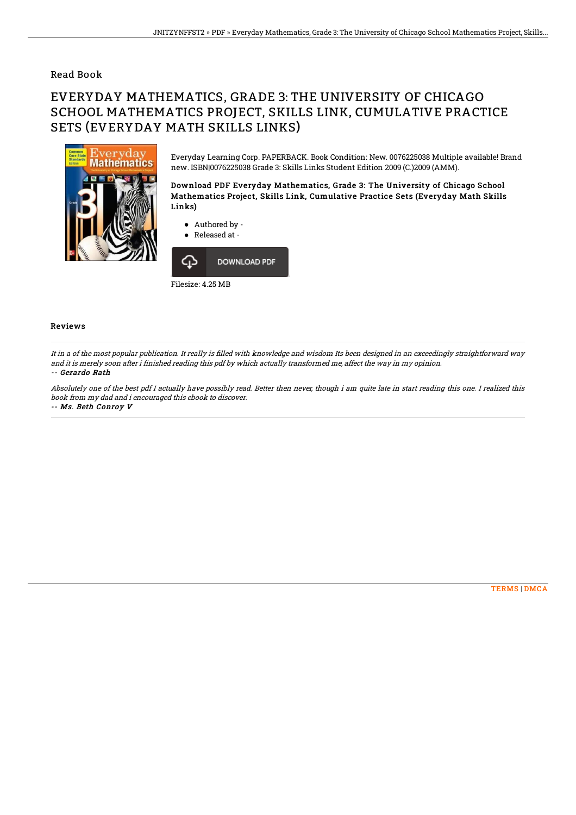## Read Book

## EVERYDAY MATHEMATICS, GRADE 3: THE UNIVERSITY OF CHICAGO SCHOOL MATHEMATICS PROJECT, SKILLS LINK, CUMULATIVE PRACTICE SETS (EVERYDAY MATH SKILLS LINKS)



Everyday Learning Corp. PAPERBACK. Book Condition: New. 0076225038 Multiple available! Brand new. ISBN|0076225038 Grade 3: Skills Links Student Edition 2009 (C.)2009 (AMM).

Download PDF Everyday Mathematics, Grade 3: The University of Chicago School Mathematics Project, Skills Link, Cumulative Practice Sets (Everyday Math Skills Links)

- Authored by -
- Released at -



## Reviews

It in a of the most popular publication. It really is filled with knowledge and wisdom Its been designed in an exceedingly straightforward way and it is merely soon after i finished reading this pdf by which actually transformed me, affect the way in my opinion. -- Gerardo Rath

Absolutely one of the best pdf I actually have possibly read. Better then never, though i am quite late in start reading this one. I realized this book from my dad and i encouraged this ebook to discover.

-- Ms. Beth Conroy V